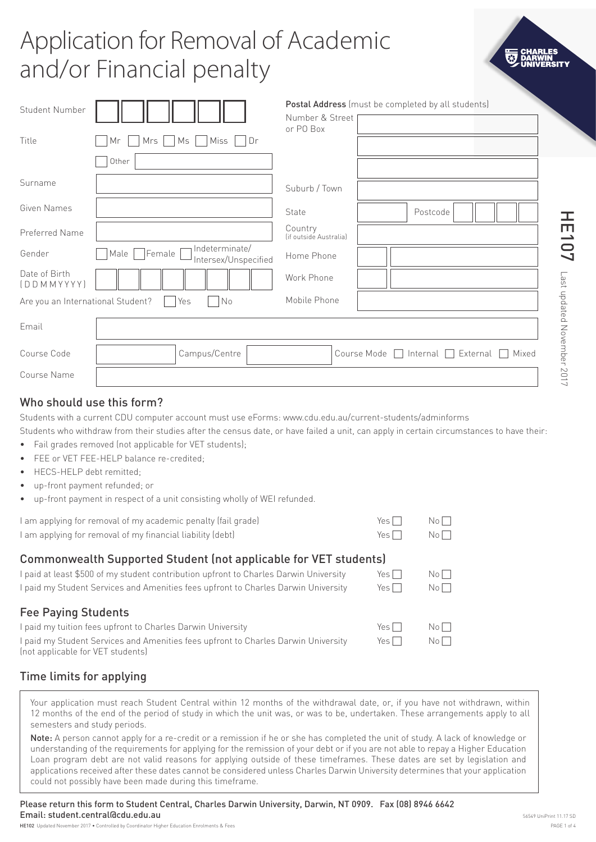# Application for Removal of Academic and/or Financial penalty

| Student Number<br>Title           | Ms<br>Miss<br>Dr<br>$Mrs$    <br>Mr                       | Number & Street<br>or PO Box      | Postal Address (must be completed by all students)             |
|-----------------------------------|-----------------------------------------------------------|-----------------------------------|----------------------------------------------------------------|
|                                   | Other                                                     |                                   |                                                                |
| Surname                           |                                                           | Suburb / Town                     |                                                                |
| Given Names                       |                                                           | State                             | Postcode                                                       |
| Preferred Name                    |                                                           | Country<br>(if outside Australia) |                                                                |
| Gender                            | Indeterminate/<br> Female<br>Male<br>Intersex/Unspecified | Home Phone                        |                                                                |
| Date of Birth<br>DDMMYYYY)        |                                                           | Work Phone                        |                                                                |
| Are you an International Student? | No<br>Yes<br>$\sim$                                       | Mobile Phone                      |                                                                |
| Email                             |                                                           |                                   |                                                                |
| Course Code                       | Campus/Centre                                             |                                   | $\Box$ Internal $\Box$ External $\Box$<br>Course Mode<br>Mixed |
| Course Name                       |                                                           |                                   |                                                                |

# Who should use this form?

Students with a current CDU computer account must use eForms: www.cdu.edu.au/current-students/adminforms

Students who withdraw from their studies after the census date, or have failed a unit, can apply in certain circumstances to have their: • Fail grades removed (not applicable for VET students):

- FFF or VFT FFF-HFLP balance re-credited
- HECS-HELP debt remitted;
- up-front payment refunded; or
- up-front payment in respect of a unit consisting wholly of WEI refunded.

| I am applying for removal of my academic penalty (fail grade) | $Yes \Box \qquad No \Box$ |  |
|---------------------------------------------------------------|---------------------------|--|
| I am applying for removal of my financial liability (debt)    | $Yes \Box \qquad No \Box$ |  |

# Commonwealth Supported Student (not applicable for VET students)

| I paid at least \$500 of my student contribution upfront to Charles Darwin University                                   | Yes $\Box$ | Noll            |
|-------------------------------------------------------------------------------------------------------------------------|------------|-----------------|
| I paid my Student Services and Amenities fees upfront to Charles Darwin University                                      | Yes $\Box$ | No <sub>1</sub> |
| <b>Fee Paying Students</b>                                                                                              |            |                 |
| I paid my tuition fees upfront to Charles Darwin University                                                             | Yes $\Box$ | No <sub>1</sub> |
| I paid my Student Services and Amenities fees upfront to Charles Darwin University<br>(not applicable for VET students) | Yes $\Box$ | No <sub>1</sub> |

# Time limits for applying

Your application must reach Student Central within 12 months of the withdrawal date, or, if you have not withdrawn, within 12 months of the end of the period of study in which the unit was, or was to be, undertaken. These arrangements apply to all semesters and study periods.

Note: A person cannot apply for a re-credit or a remission if he or she has completed the unit of study. A lack of knowledge or understanding of the requirements for applying for the remission of your debt or if you are not able to repay a Higher Education Loan program debt are not valid reasons for applying outside of these timeframes. These dates are set by legislation and applications received after these dates cannot be considered unless Charles Darwin University determines that your application could not possibly have been made during this timeframe.

Please return this form to Student Central, Charles Darwin University, Darwin, NT 0909. Fax (08) 8946 6642 Email: student.central@cdu.edu.au

HE107

Last updated November 2017

Last updated November 2017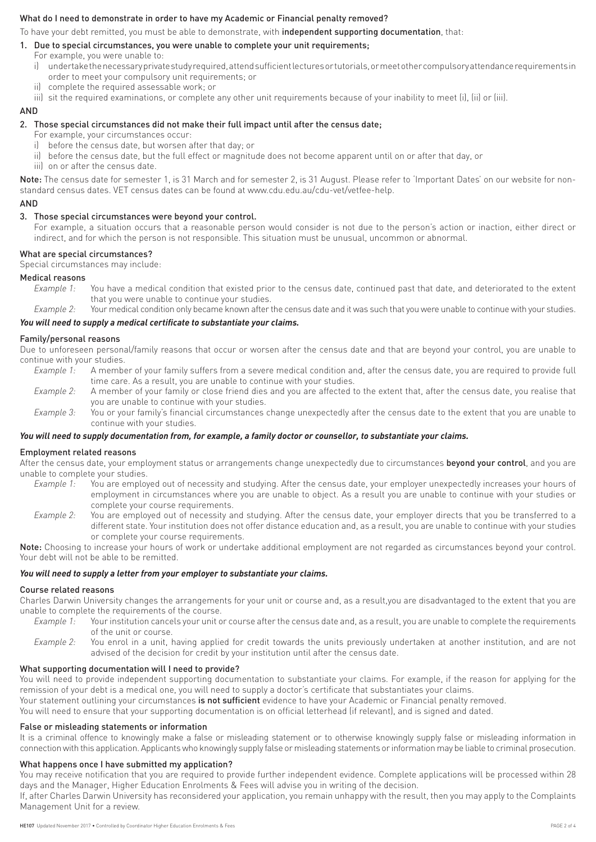#### What do I need to demonstrate in order to have my Academic or Financial penalty removed?

To have your debt remitted, you must be able to demonstrate, with independent supporting documentation, that:

#### 1. Due to special circumstances, you were unable to complete your unit requirements;

- For example, you were unable to:
- i) undertake the necessary private study required, attend sufficient lectures or tutorials, or meet other compulsory attendance requirements in order to meet your compulsory unit requirements; or
- ii) complete the required assessable work; or
- iii) sit the required examinations, or complete any other unit requirements because of your inability to meet (i), (ii) or (iii).

#### **AND**

#### 2. Those special circumstances did not make their full impact until after the census date;

- For example, your circumstances occur:
- i) before the census date, but worsen after that day; or
- ii) before the census date, but the full effect or magnitude does not become apparent until on or after that day, or
- iii) on or after the census date.

Note: The census date for semester 1, is 31 March and for semester 2, is 31 August. Please refer to 'Important Dates' on our website for nonstandard census dates. VET census dates can be found at www.cdu.edu.au/cdu-vet/vetfee-help.

#### AND

#### 3. Those special circumstances were beyond your control.

 For example, a situation occurs that a reasonable person would consider is not due to the person's action or inaction, either direct or indirect, and for which the person is not responsible. This situation must be unusual, uncommon or abnormal.

#### What are special circumstances?

Special circumstances may include:

#### Medical reasons

- *Example 1:* You have a medical condition that existed prior to the census date, continued past that date, and deteriorated to the extent that you were unable to continue your studies.
- *Example 2:* Your medical condition only became known after the census date and it was such that you were unable to continue with your studies.

#### *You will need to supply a medical certificate to substantiate your claims.*

#### Family/personal reasons

Due to unforeseen personal/family reasons that occur or worsen after the census date and that are beyond your control, you are unable to continue with your studies.

- *Example 1:* A member of your family suffers from a severe medical condition and, after the census date, you are required to provide full time care. As a result, you are unable to continue with your studies.
- *Example 2:* A member of your family or close friend dies and you are affected to the extent that, after the census date, you realise that you are unable to continue with your studies.
- *Example 3:* You or your family's financial circumstances change unexpectedly after the census date to the extent that you are unable to continue with your studies.

#### *You will need to supply documentation from, for example, a family doctor or counsellor, to substantiate your claims.*

#### Employment related reasons

After the census date, your employment status or arrangements change unexpectedly due to circumstances beyond your control, and you are unable to complete your studies.

- *Example 1:* You are employed out of necessity and studying. After the census date, your employer unexpectedly increases your hours of employment in circumstances where you are unable to object. As a result you are unable to continue with your studies or complete your course requirements.
- *Example 2:* You are employed out of necessity and studying. After the census date, your employer directs that you be transferred to a different state. Your institution does not offer distance education and, as a result, you are unable to continue with your studies or complete your course requirements.

Note: Choosing to increase your hours of work or undertake additional employment are not regarded as circumstances beyond your control. Your debt will not be able to be remitted.

#### *You will need to supply a letter from your employer to substantiate your claims.*

#### Course related reasons

Charles Darwin University changes the arrangements for your unit or course and, as a result,you are disadvantaged to the extent that you are unable to complete the requirements of the course.

- *Example 1:* Your institution cancels your unit or course after the census date and, as a result, you are unable to complete the requirements of the unit or course.
- *Example 2:* You enrol in a unit, having applied for credit towards the units previously undertaken at another institution, and are not advised of the decision for credit by your institution until after the census date.

#### What supporting documentation will I need to provide?

You will need to provide independent supporting documentation to substantiate your claims. For example, if the reason for applying for the remission of your debt is a medical one, you will need to supply a doctor's certificate that substantiates your claims.

Your statement outlining your circumstances is not sufficient evidence to have your Academic or Financial penalty removed.

You will need to ensure that your supporting documentation is on official letterhead (if relevant), and is signed and dated.

#### False or misleading statements or information

It is a criminal offence to knowingly make a false or misleading statement or to otherwise knowingly supply false or misleading information in connection with this application. Applicants who knowingly supply false or misleading statements or information may be liable to criminal prosecution.

#### What happens once I have submitted my application?

You may receive notification that you are required to provide further independent evidence. Complete applications will be processed within 28 days and the Manager, Higher Education Enrolments & Fees will advise you in writing of the decision.

If, after Charles Darwin University has reconsidered your application, you remain unhappy with the result, then you may apply to the Complaints Management Unit for a review.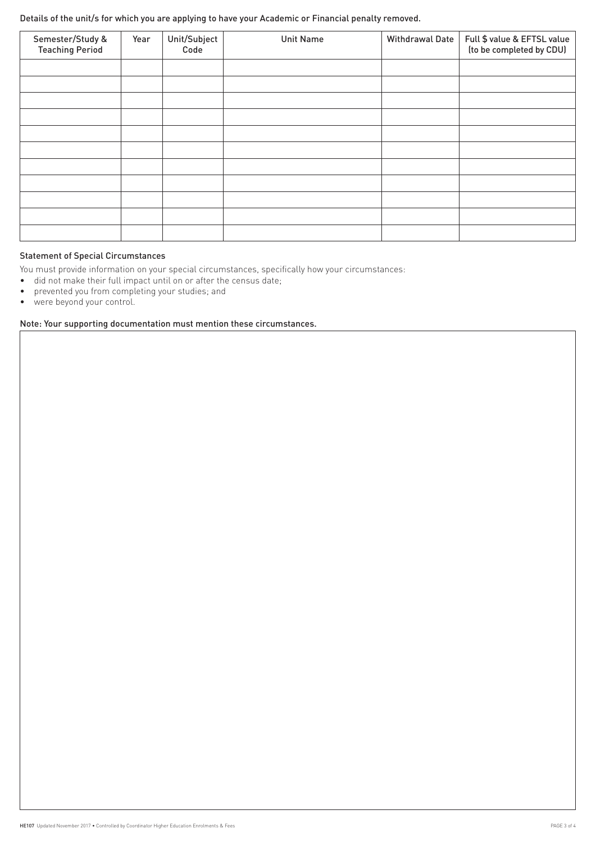Details of the unit/s for which you are applying to have your Academic or Financial penalty removed.

| Semester/Study &<br><b>Teaching Period</b> | Year | Unit/Subject<br>Code | <b>Unit Name</b> | <b>Withdrawal Date</b> | Full \$ value & EFTSL value<br>(to be completed by CDU) |
|--------------------------------------------|------|----------------------|------------------|------------------------|---------------------------------------------------------|
|                                            |      |                      |                  |                        |                                                         |
|                                            |      |                      |                  |                        |                                                         |
|                                            |      |                      |                  |                        |                                                         |
|                                            |      |                      |                  |                        |                                                         |
|                                            |      |                      |                  |                        |                                                         |
|                                            |      |                      |                  |                        |                                                         |
|                                            |      |                      |                  |                        |                                                         |
|                                            |      |                      |                  |                        |                                                         |
|                                            |      |                      |                  |                        |                                                         |
|                                            |      |                      |                  |                        |                                                         |
|                                            |      |                      |                  |                        |                                                         |

# Statement of Special Circumstances

You must provide information on your special circumstances, specifically how your circumstances:

- did not make their full impact until on or after the census date;
- prevented you from completing your studies; and
- were beyond your control.

#### Note: Your supporting documentation must mention these circumstances.